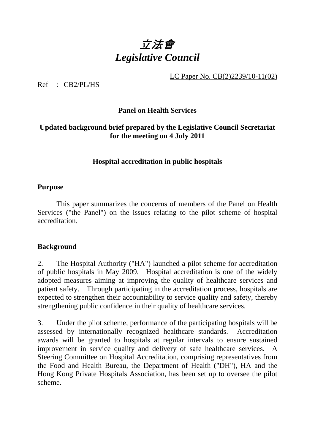# 立法會 *Legislative Council*

LC Paper No. CB(2)2239/10-11(02)

Ref : CB2/PL/HS

# **Panel on Health Services**

## **Updated background brief prepared by the Legislative Council Secretariat for the meeting on 4 July 2011**

## **Hospital accreditation in public hospitals**

#### **Purpose**

 This paper summarizes the concerns of members of the Panel on Health Services ("the Panel") on the issues relating to the pilot scheme of hospital accreditation.

#### **Background**

2. The Hospital Authority ("HA") launched a pilot scheme for accreditation of public hospitals in May 2009. Hospital accreditation is one of the widely adopted measures aiming at improving the quality of healthcare services and patient safety. Through participating in the accreditation process, hospitals are expected to strengthen their accountability to service quality and safety, thereby strengthening public confidence in their quality of healthcare services.

3. Under the pilot scheme, performance of the participating hospitals will be assessed by internationally recognized healthcare standards. Accreditation awards will be granted to hospitals at regular intervals to ensure sustained improvement in service quality and delivery of safe healthcare services. A Steering Committee on Hospital Accreditation, comprising representatives from the Food and Health Bureau, the Department of Health ("DH"), HA and the Hong Kong Private Hospitals Association, has been set up to oversee the pilot scheme.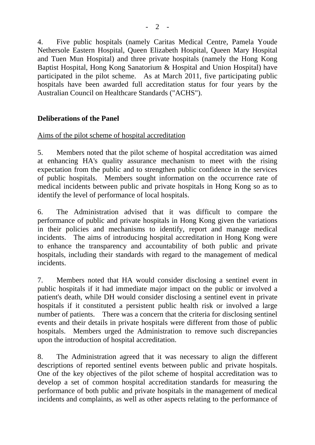4. Five public hospitals (namely Caritas Medical Centre, Pamela Youde Nethersole Eastern Hospital, Queen Elizabeth Hospital, Queen Mary Hospital and Tuen Mun Hospital) and three private hospitals (namely the Hong Kong Baptist Hospital, Hong Kong Sanatorium & Hospital and Union Hospital) have participated in the pilot scheme. As at March 2011, five participating public hospitals have been awarded full accreditation status for four years by the Australian Council on Healthcare Standards ("ACHS").

# **Deliberations of the Panel**

## Aims of the pilot scheme of hospital accreditation

5. Members noted that the pilot scheme of hospital accreditation was aimed at enhancing HA's quality assurance mechanism to meet with the rising expectation from the public and to strengthen public confidence in the services of public hospitals. Members sought information on the occurrence rate of medical incidents between public and private hospitals in Hong Kong so as to identify the level of performance of local hospitals.

6. The Administration advised that it was difficult to compare the performance of public and private hospitals in Hong Kong given the variations in their policies and mechanisms to identify, report and manage medical incidents. The aims of introducing hospital accreditation in Hong Kong were to enhance the transparency and accountability of both public and private hospitals, including their standards with regard to the management of medical incidents.

7. Members noted that HA would consider disclosing a sentinel event in public hospitals if it had immediate major impact on the public or involved a patient's death, while DH would consider disclosing a sentinel event in private hospitals if it constituted a persistent public health risk or involved a large number of patients. There was a concern that the criteria for disclosing sentinel events and their details in private hospitals were different from those of public hospitals. Members urged the Administration to remove such discrepancies upon the introduction of hospital accreditation.

8. The Administration agreed that it was necessary to align the different descriptions of reported sentinel events between public and private hospitals. One of the key objectives of the pilot scheme of hospital accreditation was to develop a set of common hospital accreditation standards for measuring the performance of both public and private hospitals in the management of medical incidents and complaints, as well as other aspects relating to the performance of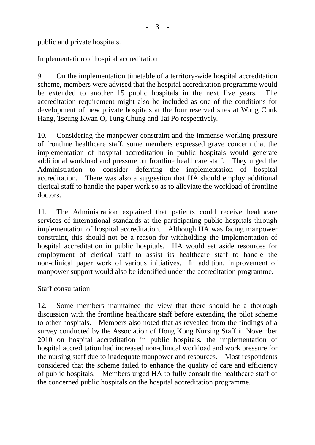public and private hospitals.

# Implementation of hospital accreditation

9. On the implementation timetable of a territory-wide hospital accreditation scheme, members were advised that the hospital accreditation programme would be extended to another 15 public hospitals in the next five years. The accreditation requirement might also be included as one of the conditions for development of new private hospitals at the four reserved sites at Wong Chuk Hang, Tseung Kwan O, Tung Chung and Tai Po respectively.

10. Considering the manpower constraint and the immense working pressure of frontline healthcare staff, some members expressed grave concern that the implementation of hospital accreditation in public hospitals would generate additional workload and pressure on frontline healthcare staff. They urged the Administration to consider deferring the implementation of hospital accreditation. There was also a suggestion that HA should employ additional clerical staff to handle the paper work so as to alleviate the workload of frontline doctors.

11. The Administration explained that patients could receive healthcare services of international standards at the participating public hospitals through implementation of hospital accreditation. Although HA was facing manpower constraint, this should not be a reason for withholding the implementation of hospital accreditation in public hospitals. HA would set aside resources for employment of clerical staff to assist its healthcare staff to handle the non-clinical paper work of various initiatives. In addition, improvement of manpower support would also be identified under the accreditation programme.

#### Staff consultation

12. Some members maintained the view that there should be a thorough discussion with the frontline healthcare staff before extending the pilot scheme to other hospitals. Members also noted that as revealed from the findings of a survey conducted by the Association of Hong Kong Nursing Staff in November 2010 on hospital accreditation in public hospitals, the implementation of hospital accreditation had increased non-clinical workload and work pressure for the nursing staff due to inadequate manpower and resources. Most respondents considered that the scheme failed to enhance the quality of care and efficiency of public hospitals. Members urged HA to fully consult the healthcare staff of the concerned public hospitals on the hospital accreditation programme.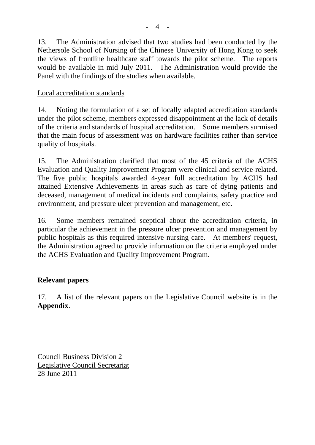13. The Administration advised that two studies had been conducted by the Nethersole School of Nursing of the Chinese University of Hong Kong to seek the views of frontline healthcare staff towards the pilot scheme. The reports would be available in mid July 2011. The Administration would provide the Panel with the findings of the studies when available.

## Local accreditation standards

14. Noting the formulation of a set of locally adapted accreditation standards under the pilot scheme, members expressed disappointment at the lack of details of the criteria and standards of hospital accreditation. Some members surmised that the main focus of assessment was on hardware facilities rather than service quality of hospitals.

15. The Administration clarified that most of the 45 criteria of the ACHS Evaluation and Quality Improvement Program were clinical and service-related. The five public hospitals awarded 4-year full accreditation by ACHS had attained Extensive Achievements in areas such as care of dying patients and deceased, management of medical incidents and complaints, safety practice and environment, and pressure ulcer prevention and management, etc.

16. Some members remained sceptical about the accreditation criteria, in particular the achievement in the pressure ulcer prevention and management by public hospitals as this required intensive nursing care. At members' request, the Administration agreed to provide information on the criteria employed under the ACHS Evaluation and Quality Improvement Program.

# **Relevant papers**

17. A list of the relevant papers on the Legislative Council website is in the **Appendix**.

Council Business Division 2 Legislative Council Secretariat 28 June 2011